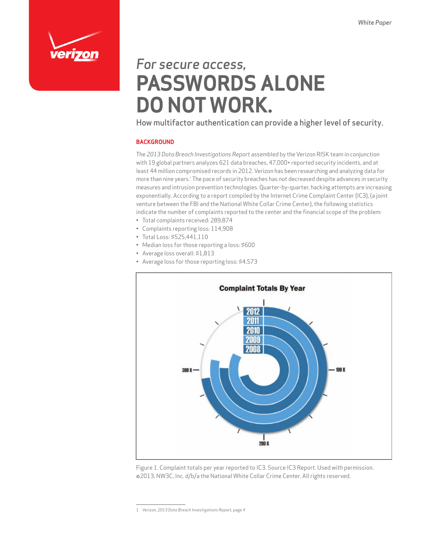

# *For secure access,* **PASSWORDS ALONE DO NOT WORK.**

How multifactor authentication can provide a higher level of security.

#### **BACKGROUND**

The *2013 Data Breach Investigations Report* assembled by the Verizon RISK team in conjunction with 19 global partners analyzes 621 data breaches, 47,000+ reported security incidents, and at least 44 million compromised records in 2012. Verizon has been researching and analyzing data for more than nine years.<sup>1</sup> The pace of security breaches has not decreased despite advances in security measures and intrusion prevention technologies. Quarter-by-quarter, hacking attempts are increasing exponentially. According to a report compiled by the Internet Crime Complaint Center (IC3), (a joint venture between the FBI and the National White Collar Crime Center), the following statistics indicate the number of complaints reported to the center and the financial scope of the problem:

- • Total complaints received: 289,874
- • Complaints reporting loss: 114,908
- • Total Loss: \$525,441,110
- Median loss for those reporting a loss: \$600
- • Average loss overall: \$1,813
- Average loss for those reporting loss: \$4,573



Figure 1. Complaint totals per year reported to IC3. Source IC3 Report. Used with permission. ©2013. NW3C, Inc. d/b/a the National White Collar Crime Center. All rights reserved.

<sup>1</sup> Verizon, *2013 Data Breach Investigations Report*, page 4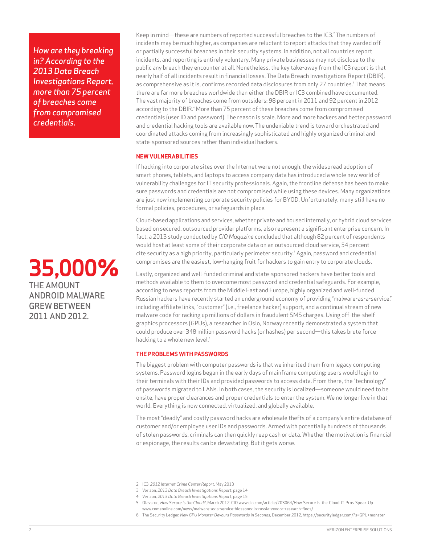*How are they breaking in? According to the 2013 Data Breach Investigations Report, more than 75 percent of breaches come from compromised credentials.*

### **35,000%** THE AMOUNT ANDROID MALWARE GREW BETWEEN 2011 AND 2012.

Keep in mind—these are numbers of reported successful breaches to the IC3.<sup>2</sup> The numbers of incidents may be much higher, as companies are reluctant to report attacks that they warded off or partially successful breaches in their security systems. In addition, not all countries report incidents, and reporting is entirely voluntary. Many private businesses may not disclose to the public any breach they encounter at all. Nonetheless, the key take-away from the IC3 report is that nearly half of all incidents result in financial losses. The Data Breach Investigations Report (DBIR), as comprehensive as it is, confirms recorded data disclosures from only 27 countries.<sup>3</sup> That means there are far more breaches worldwide than either the DBIR or IC3 combined have documented. The vast majority of breaches come from outsiders: 98 percent in 2011 and 92 percent in 2012 according to the DBIR.<sup>4</sup> More than 75 percent of these breaches come from compromised credentials (user ID and password). The reason is scale. More and more hackers and better password and credential hacking tools are available now. The undeniable trend is toward orchestrated and coordinated attacks coming from increasingly sophisticated and highly organized criminal and state-sponsored sources rather than individual hackers.

#### **NEW VULNERABILITIES**

If hacking into corporate sites over the Internet were not enough, the widespread adoption of smart phones, tablets, and laptops to access company data has introduced a whole new world of vulnerability challenges for IT security professionals. Again, the frontline defense has been to make sure passwords and credentials are not compromised while using these devices. Many organizations are just now implementing corporate security policies for BYOD. Unfortunately, many still have no formal policies, procedures, or safeguards in place.

Cloud-based applications and services, whether private and housed internally, or hybrid cloud services based on secured, outsourced provider platforms, also represent a significant enterprise concern. In fact, a 2013 study conducted by *CIO Magazine* concluded that although 82 percent of respondents would host at least some of their corporate data on an outsourced cloud service, 54 percent cite security as a high priority, particularly perimeter security.<sup>5</sup> Again, password and credential compromises are the easiest, low-hanging fruit for hackers to gain entry to corporate clouds.

Lastly, organized and well-funded criminal and state-sponsored hackers have better tools and methods available to them to overcome most password and credential safeguards. For example, according to news reports from the Middle East and Europe, highly organized and well-funded Russian hackers have recently started an underground economy of providing "malware-as-a-service," including affiliate links, "customer" (i.e., freelance hacker) support, and a continual stream of new malware code for racking up millions of dollars in fraudulent SMS charges. Using off-the-shelf graphics processors (GPUs), a researcher in Oslo, Norway recently demonstrated a system that could produce over 348 million password hacks (or hashes) per second—this takes brute force hacking to a whole new level.<sup>6</sup>

#### **THE PROBLEMS WITH PASSWORDS**

The biggest problem with computer passwords is that we inherited them from legacy computing systems. Password logins began in the early days of mainframe computing; users would login to their terminals with their IDs and provided passwords to access data. From there, the "technology" of passwords migrated to LANs. In both cases, the security is localized—someone would need to be onsite, have proper clearances and proper credentials to enter the system. We no longer live in that world. Everything is now connected, virtualized, and globally available.

The most "deadly" and costly password hacks are wholesale thefts of a company's entire database of customer and/or employee user IDs and passwords. Armed with potentially hundreds of thousands of stolen passwords, criminals can then quickly reap cash or data. Whether the motivation is financial or espionage, the results can be devastating. But it gets worse.

<sup>2</sup> IC3, *2012 Internet Crime Center Report*, May 2013

<sup>3</sup> Verizon, *2013 Data Breach Investigations Report*, page 14

<sup>4</sup> Verizon, *2013 Data Breach Investigations Report*, page 15

<sup>5</sup> Olavsrud, *How Secure is the Cloud?*, March 2012, CIO www.cio.com/article/703064/How\_Secure\_Is\_the\_Cloud\_IT\_Pros\_Speak\_Up www.cnmeonline.com/news/malware-as-a-service-blossoms-in-russia-vendor-research-finds/

<sup>6</sup> The Security Ledger, *New GPU Monster Devours Passwords in Seconds*, December 2012, https://securityledger.com/?s=GPU+monster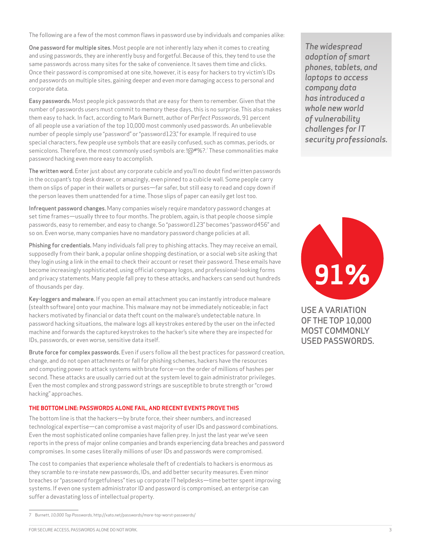The following are a few of the most common flaws in password use by individuals and companies alike:

One password for multiple sites. Most people are not inherently lazy when it comes to creating and using passwords, they are inherently busy and forgetful. Because of this, they tend to use the same passwords across many sites for the sake of convenience. It saves them time and clicks. Once their password is compromised at one site, however, it is easy for hackers to try victim's IDs and passwords on multiple sites, gaining deeper and even more damaging access to personal and corporate data.

Easy passwords. Most people pick passwords that are easy for them to remember. Given that the number of passwords users must commit to memory these days, this is no surprise. This also makes them easy to hack. In fact, according to Mark Burnett, author of *Perfect Passwords*, 91 percent of all people use a variation of the top 10,000 most commonly used passwords. An unbelievable number of people simply use "password" or "password123," for example. If required to use special characters, few people use symbols that are easily confused, such as commas, periods, or semicolons. Therefore, the most commonly used symbols are: !@#%?.7 These commonalities make password hacking even more easy to accomplish.

The written word. Enter just about any corporate cubicle and you'll no doubt find written passwords in the occupant's top desk drawer, or amazingly, even pinned to a cubicle wall. Some people carry them on slips of paper in their wallets or purses—far safer, but still easy to read and copy down if the person leaves them unattended for a time. Those slips of paper can easily get lost too.

Infrequent password changes. Many companies wisely require mandatory password changes at set time frames—usually three to four months. The problem, again, is that people choose simple passwords, easy to remember, and easy to change. So "password123" becomes "password456" and so on. Even worse, many companies have no mandatory password change policies at all.

Phishing for credentials. Many individuals fall prey to phishing attacks. They may receive an email, supposedly from their bank, a popular online shopping destination, or a social web site asking that they login using a link in the email to check their account or reset their password. These emails have become increasingly sophisticated, using official company logos, and professional-looking forms and privacy statements. Many people fall prey to these attacks, and hackers can send out hundreds of thousands per day.

Key-loggers and malware. If you open an email attachment you can instantly introduce malware (stealth software) onto your machine. This malware may not be immediately noticeable; in fact hackers motivated by financial or data theft count on the malware's undetectable nature. In password hacking situations, the malware logs all keystrokes entered by the user on the infected machine and forwards the captured keystrokes to the hacker's site where they are inspected for IDs, passwords, or even worse, sensitive data itself.

Brute force for complex passwords. Even if users follow all the best practices for password creation, change, and do not open attachments or fall for phishing schemes, hackers have the resources and computing power to attack systems with brute force—on the order of millions of hashes per second. These attacks are usually carried out at the system level to gain administrator privileges. Even the most complex and strong password strings are susceptible to brute strength or "crowd hacking" approaches.

#### **THE BOTTOM LINE: PASSWORDS ALONE FAIL, AND RECENT EVENTS PROVE THIS**

The bottom line is that the hackers—by brute force, their sheer numbers, and increased technological expertise—can compromise a vast majority of user IDs and password combinations. Even the most sophisticated online companies have fallen prey. In just the last year we've seen reports in the press of major online companies and brands experiencing data breaches and password compromises. In some cases literally millions of user IDs and passwords were compromised.

The cost to companies that experience wholesale theft of credentials to hackers is enormous as they scramble to re-instate new passwords, IDs, and add better security measures. Even minor breaches or "password forgetfulness" ties up corporate IT helpdesks—time better spent improving systems. If even one system administrator ID and password is compromised, an enterprise can suffer a devastating loss of intellectual property.

*The widespread adoption of smart phones, tablets, and laptops to access company data has introduced a whole new world of vulnerability challenges for IT security professionals.* 



USE A VARIATION OF THE TOP 10,000 MOST COMMONLY USED PASSWORDS.

<sup>7</sup> Burnett, *10,000 Top Passwords,* http://xato.net/passwords/more-top-worst-passwords/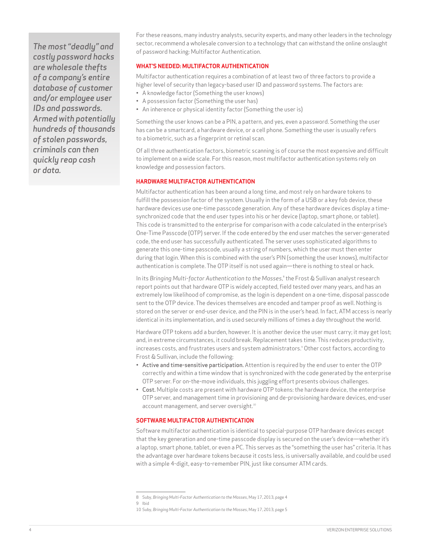*The most "deadly" and costly password hacks are wholesale thefts of a company's entire database of customer and/or employee user IDs and passwords. Armed with potentially hundreds of thousands of stolen passwords, criminals can then quickly reap cash or data.*

For these reasons, many industry analysts, security experts, and many other leaders in the technology sector, recommend a wholesale conversion to a technology that can withstand the online onslaught of password hacking: Multifactor Authentication.

#### **WHAT'S NEEDED: MULTIFACTOR AUTHENTICATION**

Multifactor authentication requires a combination of at least two of three factors to provide a higher level of security than legacy-based user ID and password systems. The factors are:

- • A knowledge factor (Something the user knows)
- • A possession factor (Something the user has)
- An inherence or physical identity factor (Something the user is)

Something the user knows can be a PIN, a pattern, and yes, even a password. Something the user has can be a smartcard, a hardware device, or a cell phone. Something the user is usually refers to a biometric, such as a fingerprint or retinal scan.

Of all three authentication factors, biometric scanning is of course the most expensive and difficult to implement on a wide scale. For this reason, most multifactor authentication systems rely on knowledge and possession factors.

#### **HARDWARE MULTIFACTOR AUTHENTICATION**

Multifactor authentication has been around a long time, and most rely on hardware tokens to fulfill the possession factor of the system. Usually in the form of a USB or a key fob device, these hardware devices use one-time passcode generation. Any of these hardware devices display a timesynchronized code that the end user types into his or her device (laptop, smart phone, or tablet). This code is transmitted to the enterprise for comparison with a code calculated in the enterprise's One-Time Passcode (OTP) server. If the code entered by the end user matches the server-generated code, the end user has successfully authenticated. The server uses sophisticated algorithms to generate this one-time passcode, usually a string of numbers, which the user must then enter during that login. When this is combined with the user's PIN (something the user knows), multifactor authentication is complete. The OTP itself is not used again—there is nothing to steal or hack.

In its *Bringing Multi-factor Authentication to the Masses*, 8 the Frost & Sullivan analyst research report points out that hardware OTP is widely accepted, field tested over many years, and has an extremely low likelihood of compromise, as the login is dependent on a one-time, disposal passcode sent to the OTP device. The devices themselves are encoded and tamper proof as well. Nothing is stored on the server or end-user device, and the PIN is in the user's head. In fact, ATM access is nearly identical in its implementation, and is used securely millions of times a day throughout the world.

Hardware OTP tokens add a burden, however. It is another device the user must carry; it may get lost; and, in extreme circumstances, it could break. Replacement takes time. This reduces productivity, increases costs, and frustrates users and system administrators.9 Other cost factors, according to Frost & Sullivan, include the following:

- • Active and time-sensitive participation. Attention is required by the end user to enter the OTP correctly and within a time window that is synchronized with the code generated by the enterprise OTP server. For on-the-move individuals, this juggling effort presents obvious challenges.
- Cost. Multiple costs are present with hardware OTP tokens: the hardware device, the enterprise OTP server, and management time in provisioning and de-provisioning hardware devices, end-user account management, and server oversight.<sup>10</sup>

#### **SOFTWARE MULTIFACTOR AUTHENTICATION**

Software multifactor authentication is identical to special-purpose OTP hardware devices except that the key generation and one-time passcode display is secured on the user's device—whether it's a laptop, smart phone, tablet, or even a PC. This serves as the "something the user has" criteria. It has the advantage over hardware tokens because it costs less, is universally available, and could be used with a simple 4-digit, easy-to-remember PIN, just like consumer ATM cards.

<sup>8</sup> Suby, *Bringing Multi-Factor Authentication to the Masses*, May 17, 2013, page 4

<sup>9</sup> Ibid

<sup>10</sup> Suby, *Bringing Multi-Factor Authentication to the Masses*, May 17, 2013, page 5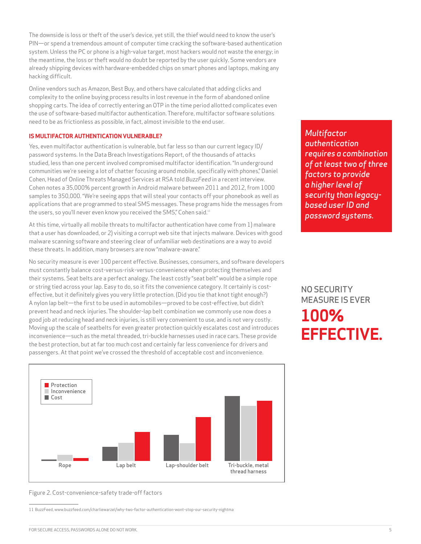The downside is loss or theft of the user's device, yet still, the thief would need to know the user's PIN—or spend a tremendous amount of computer time cracking the software-based authentication system. Unless the PC or phone is a high-value target, most hackers would not waste the energy; in the meantime, the loss or theft would no doubt be reported by the user quickly. Some vendors are already shipping devices with hardware-embedded chips on smart phones and laptops, making any hacking difficult.

Online vendors such as Amazon, Best Buy, and others have calculated that adding clicks and complexity to the online buying process results in lost revenue in the form of abandoned online shopping carts. The idea of correctly entering an OTP in the time period allotted complicates even the use of software-based multifactor authentication. Therefore, multifactor software solutions need to be as frictionless as possible, in fact, almost invisible to the end user.

#### **IS MULTIFACTOR AUTHENTICATION VULNERABLE?**

Yes, even multifactor authentication is vulnerable, but far less so than our current legacy ID/ password systems. In the Data Breach Investigations Report, of the thousands of attacks studied, less than one percent involved compromised multifactor identification. "In underground communities we're seeing a lot of chatter focusing around mobile, specifically with phones," Daniel Cohen, Head of Online Threats Managed Services at RSA told *BuzzFeed* in a recent interview. Cohen notes a 35,000% percent growth in Android malware between 2011 and 2012, from 1000 samples to 350,000. "We're seeing apps that will steal your contacts off your phonebook as well as applications that are programmed to steal SMS messages. These programs hide the messages from the users, so you'll never even know you received the SMS," Cohen said.<sup>11</sup>

At this time, virtually all mobile threats to multifactor authentication have come from 1) malware that a user has downloaded, or 2) visiting a corrupt web site that injects malware. Devices with good malware scanning software and steering clear of unfamiliar web destinations are a way to avoid these threats. In addition, many browsers are now "malware-aware."

No security measure is ever 100 percent effective. Businesses, consumers, and software developers must constantly balance cost-versus-risk-versus-convenience when protecting themselves and their systems. Seat belts are a perfect analogy. The least costly "seat belt" would be a simple rope or string tied across your lap. Easy to do, so it fits the convenience category. It certainly is costeffective, but it definitely gives you very little protection. (Did you tie that knot tight enough?) A nylon lap belt—the first to be used in automobiles—proved to be cost-effective, but didn't prevent head and neck injuries. The shoulder-lap belt combination we commonly use now does a good job at reducing head and neck injuries, is still very convenient to use, and is not very costly. Moving up the scale of seatbelts for even greater protection quickly escalates cost and introduces inconvenience—such as the metal threaded, tri-buckle harnesses used in race cars. These provide the best protection, but at far too much cost and certainly far less convenience for drivers and passengers. At that point we've crossed the threshold of acceptable cost and inconvenience.



*Multifactor authentication requires a combination of at least two of three factors to provide a higher level of security than legacybased user ID and password systems.*

NO SECURITY MEASURE IS EVER **100% EFFECTIVE.**

Figure 2. Cost-convenience-safety trade-off factors

<sup>11</sup> BuzzFeed, www.buzzfeed.com/charliewarzel/why-two-factor-authentication-wont-stop-our-security-nightma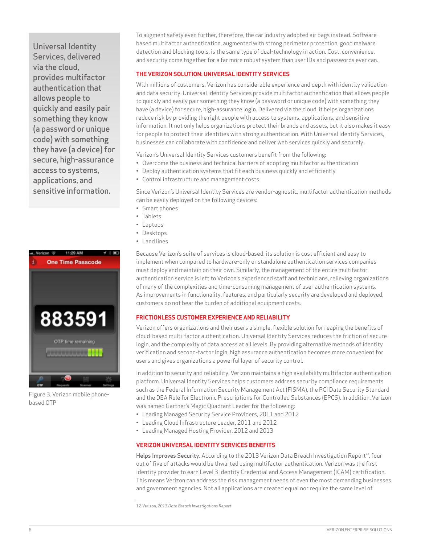Universal Identity Services, delivered via the cloud, provides multifactor authentication that allows people to quickly and easily pair something they know (a password or unique code) with something they have (a device) for secure, high-assurance access to systems, applications, and sensitive information.



Figure 3. Verizon mobile phonebased OTP

To augment safety even further, therefore, the car industry adopted air bags instead. Softwarebased multifactor authentication, augmented with strong perimeter protection, good malware detection and blocking tools, is the same type of dual-technology in action. Cost, convenience, and security come together for a far more robust system than user IDs and passwords ever can.

#### **THE VERIZON SOLUTION: UNIVERSAL IDENTITY SERVICES**

With millions of customers, Verizon has considerable experience and depth with identity validation and data security. Universal Identity Services provide multifactor authentication that allows people to quickly and easily pair something they know (a password or unique code) with something they have (a device) for secure, high-assurance login. Delivered via the cloud, it helps organizations reduce risk by providing the right people with access to systems, applications, and sensitive information. It not only helps organizations protect their brands and assets, but it also makes it easy for people to protect their identities with strong authentication. With Universal Identity Services, businesses can collaborate with confidence and deliver web services quickly and securely.

Verizon's Universal Identity Services customers benefit from the following:

- • Overcome the business and technical barriers of adopting multifactor authentication
- • Deploy authentication systems that fit each business quickly and efficiently
- • Control infrastructure and management costs

Since Verizon's Universal Identity Services are vendor-agnostic, multifactor authentication methods can be easily deployed on the following devices:

- • Smart phones
- • Tablets
- • Laptops
- • Desktops
- • Land lines

Because Verizon's suite of services is cloud-based, its solution is cost efficient and easy to implement when compared to hardware-only or standalone authentication services companies must deploy and maintain on their own. Similarly, the management of the entire multifactor authentication service is left to Verizon's experienced staff and technicians, relieving organizations of many of the complexities and time-consuming management of user authentication systems. As improvements in functionality, features, and particularly security are developed and deployed, customers do not bear the burden of additional equipment costs.

#### **FRICTIONLESS CUSTOMER EXPERIENCE AND RELIABILITY**

Verizon offers organizations and their users a simple, flexible solution for reaping the benefits of cloud-based multi-factor authentication. Universal Identity Services reduces the friction of secure login, and the complexity of data access at all levels. By providing alternative methods of identity verification and second-factor login, high assurance authentication becomes more convenient for users and gives organizations a powerful layer of security control.

In addition to security and reliability, Verizon maintains a high availability multifactor authentication platform. Universal Identity Services helps customers address security compliance requirements such as the Federal Information Security Management Act (FISMA), the PCI Data Security Standard and the DEA Rule for Electronic Prescriptions for Controlled Substances (EPCS). In addition, Verizon was named Gartner's Magic Quadrant Leader for the following:

- • Leading Managed Security Service Providers, 2011 and 2012
- • Leading Cloud Infrastructure Leader, 2011 and 2012
- • Leading Managed Hosting Provider, 2012 and 2013

#### **VERIZON UNIVERSAL IDENTITY SERVICES BENEFITS**

Helps Improves Security. According to the 2013 Verizon Data Breach Investigation Report<sup>12</sup>, four out of five of attacks would be thwarted using multifactor authentication. Verizon was the first Identity provider to earn Level 3 Identity Credential and Access Management (ICAM) certification. This means Verizon can address the risk management needs of even the most demanding businesses and government agencies. Not all applications are created equal nor require the same level of

<sup>12</sup> Verizon, *2013 Data Breach Investigations Report*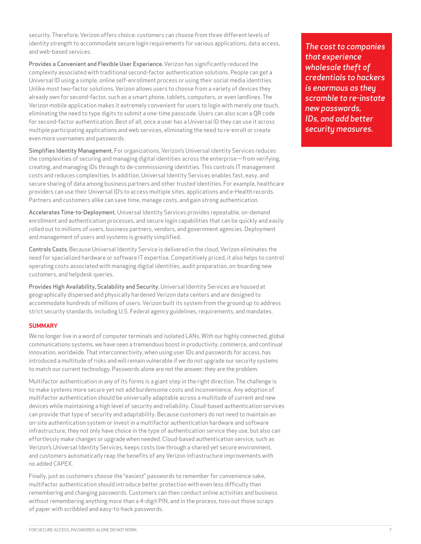security. Therefore, Verizon offers choice: customers can choose from three different levels of identity strength to accommodate secure login requirements for various applications, data access, and web-based services.

Provides a Convenient and Flexible User Experience. Verizon has significantly reduced the complexity associated with traditional second-factor authentication solutions. People can get a Universal ID using a simple, online self-enrollment process or using their social media identities. Unlike most two-factor solutions, Verizon allows users to choose from a variety of devices they already own for second-factor, such as a smart phone, tablets, computers, or even landlines. The Verizon mobile application makes it extremely convenient for users to login with merely one touch, eliminating the need to type digits to submit a one-time passcode. Users can also scan a QR code for second-factor authentication. Best of all, once a user has a Universal ID they can use it across multiple participating applications and web services, eliminating the need to re-enroll or create even more usernames and passwords.

Simplifies Identity Management. For organizations, Verizon's Universal identity Services reduces the complexities of securing and managing digital identities across the enterprise—from verifying, creating, and managing IDs through to de-commissioning identities. This controls IT management costs and reduces complexities. In addition, Universal Identity Services enables fast, easy, and secure sharing of data among business partners and other trusted identities. For example, healthcare providers can use their Universal ID's to access multiple sites, applications and e-Health records. Partners and customers alike can save time, manage costs, and gain strong authentication.

Accelerates Time-to-Deployment. Universal Identity Services provides repeatable, on-demand enrollment and authentication processes, and secure login capabilities that can be quickly and easily rolled out to millions of users, business partners, vendors, and government agencies. Deployment and management of users and systems is greatly simplified.

Controls Costs. Because Universal Identity Service is delivered in the cloud, Verizon eliminates the need for specialized hardware or software IT expertise. Competitively priced, it also helps to control operating costs associated with managing digital identities, audit preparation, on-boarding new customers, and helpdesk queries.

Provides High Availability, Scalability and Security. Universal Identity Services are housed at geographically dispersed and physically hardened Verizon data centers and are designed to accommodate hundreds of millions of users. Verizon built its system from the ground up to address strict security standards, including U.S. Federal agency guidelines, requirements, and mandates.

#### **SUMMARY**

We no longer live in a word of computer terminals and isolated LANs. With our highly connected, global communications systems, we have seen a tremendous boost in productivity, commerce, and continual innovation, worldwide. That interconnectivity, when using user IDs and passwords for access, has introduced a multitude of risks and will remain vulnerable if we do not upgrade our security systems to match our current technology. Passwords alone are not the answer: they are the problem.

Multifactor authentication in any of its forms is a giant step in the right direction. The challenge is to make systems more secure yet not add burdensome costs and inconvenience. Any adoption of multifactor authentication should be universally adaptable across a multitude of current and new devices while maintaining a high level of security and reliability. Cloud-based authentication services can provide that type of security and adaptability. Because customers do not need to maintain an on-site authentication system or invest in a multifactor authentication hardware and software infrastructure, they not only have choice in the type of authentication service they use, but also can effortlessly make changes or upgrade when needed. Cloud-based authentication service, such as Verizon's Universal Identity Services, keeps costs low through a shared yet secure environment, and customers automatically reap the benefits of any Verizon infrastructure improvements with no added CAPEX.

Finally, just as customers choose the "easiest" passwords to remember for convenience sake, multifactor authentication should introduce better protection with even less difficulty than remembering and changing passwords. Customers can then conduct online activities and business without remembering anything more than a 4-digit PIN, and in the process, toss out those scraps of paper with scribbled and easy-to-hack passwords.

*The cost to companies that experience wholesale theft of credentials to hackers is enormous as they scramble to re-instate new passwords, IDs, and add better security measures.*